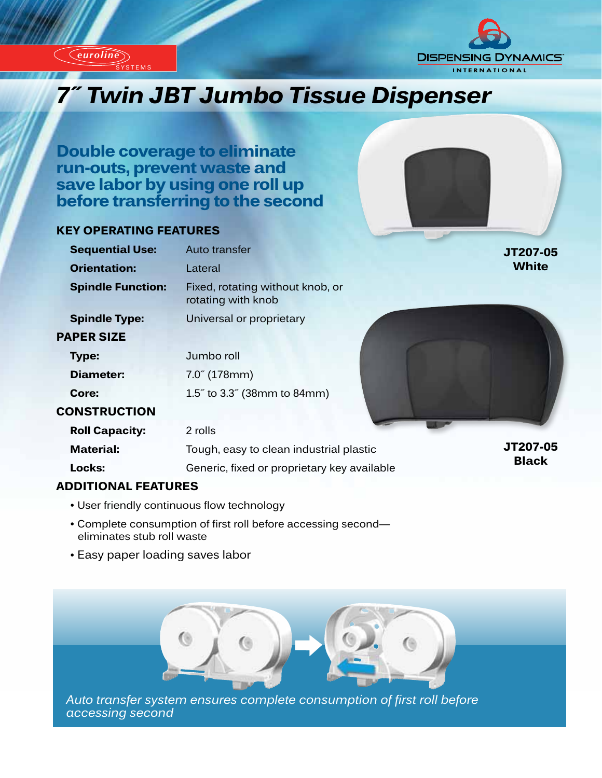

SYSTEMS

*euroline*



# *Innovative Timps III Twin JBT Jumbo Tissue Dispenser*

**Double coverage to eliminate run-outs, prevent waste and save labor by using one roll up before transferring to the second**

# **KEY OPERATING FEATURES**

| <b>Sequential Use:</b>   | Auto transfer                                          | JT207-05                 |
|--------------------------|--------------------------------------------------------|--------------------------|
| <b>Orientation:</b>      | Lateral                                                | <b>White</b>             |
| <b>Spindle Function:</b> | Fixed, rotating without knob, or<br>rotating with knob |                          |
| <b>Spindle Type:</b>     | Universal or proprietary                               |                          |
| <b>PAPER SIZE</b>        |                                                        |                          |
| Type:                    | Jumbo roll                                             |                          |
| Diameter:                | $7.0^{6}$ (178mm)                                      |                          |
| Core:                    | 1.5" to 3.3" (38mm to 84mm)                            |                          |
| <b>CONSTRUCTION</b>      |                                                        |                          |
| <b>Roll Capacity:</b>    | 2 rolls                                                |                          |
| <b>Material:</b>         | Tough, easy to clean industrial plastic                | JT207-05<br><b>Black</b> |
| Locks:                   | Generic, fixed or proprietary key available            |                          |
| ADDITIONAL EEATHDES      |                                                        |                          |

# **ADDITIONAL FEATURES**

- User friendly continuous flow technology
- Complete consumption of first roll before accessing second eliminates stub roll waste
- Easy paper loading saves labor



*Auto transfer system ensures complete consumption of first roll before accessing second*